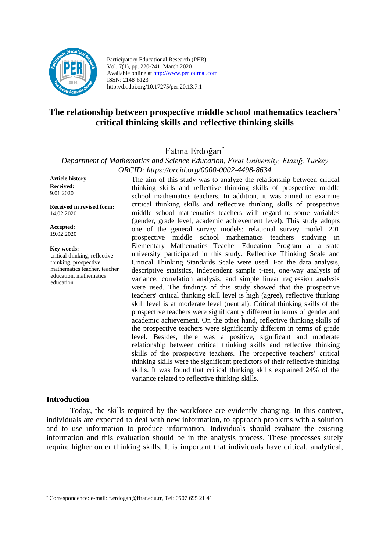

Participatory Educational Research (PER) Vol. 7(1), pp. 220-241, March 2020 Available online at http://www.perjournal.com ISSN: 2148-6123 http://dx.doi.org/10.17275/per.20.13.7.1

# **The relationship between prospective middle school mathematics teachers' critical thinking skills and reflective thinking skills**

Fatma Erdoğan\*

*Department of Mathematics and Science Education, Fırat University, Elazığ, Turkey ORCID: https://orcid.org/0000-0002-4498-8634*

**Article history Received:**  9.01.2020 **Received in revised form:**  14.02.2020 **Accepted:** 19.02.2020 The aim of this study was to analyze the relationship between critical thinking skills and reflective thinking skills of prospective middle school mathematics teachers. In addition, it was aimed to examine critical thinking skills and reflective thinking skills of prospective middle school mathematics teachers with regard to some variables (gender, grade level, academic achievement level). This study adopts one of the general survey models: relational survey model. 201 prospective middle school mathematics teachers studying in Elementary Mathematics Teacher Education Program at a state university participated in this study. Reflective Thinking Scale and Critical Thinking Standards Scale were used. For the data analysis, descriptive statistics, independent sample t-test, one-way analysis of variance, correlation analysis, and simple linear regression analysis were used. The findings of this study showed that the prospective teachers' critical thinking skill level is high (agree), reflective thinking skill level is at moderate level (neutral). Critical thinking skills of the prospective teachers were significantly different in terms of gender and academic achievement. On the other hand, reflective thinking skills of the prospective teachers were significantly different in terms of grade level. Besides, there was a positive, significant and moderate relationship between critical thinking skills and reflective thinking skills of the prospective teachers. The prospective teachers' critical thinking skills were the significant predictors of their reflective thinking skills. It was found that critical thinking skills explained 24% of the variance related to reflective thinking skills. **Key words:** critical thinking, reflective thinking, prospective mathematics teacher, teacher education, mathematics education

#### **Introduction**

Today, the skills required by the workforce are evidently changing. In this context, individuals are expected to deal with new information, to approach problems with a solution and to use information to produce information. Individuals should evaluate the existing information and this evaluation should be in the analysis process. These processes surely require higher order thinking skills. It is important that individuals have critical, analytical,

<sup>\*</sup> Correspondence: e-mail[: f.erdogan@firat.edu.tr,](mailto:f.erdogan@firat.edu.tr) Tel: 0507 695 21 41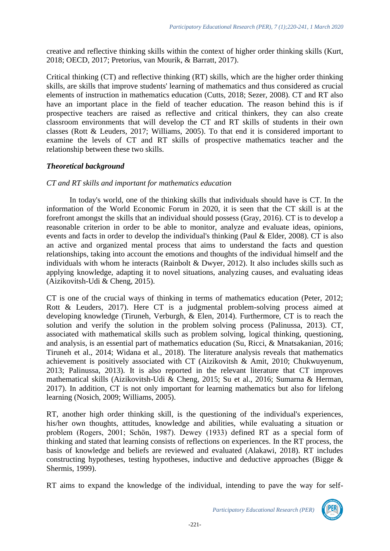creative and reflective thinking skills within the context of higher order thinking skills (Kurt, 2018; OECD, 2017; Pretorius, van Mourik, & Barratt, 2017).

Critical thinking (CT) and reflective thinking (RT) skills, which are the higher order thinking skills, are skills that improve students' learning of mathematics and thus considered as crucial elements of instruction in mathematics education (Cutts, 2018; Sezer, 2008). CT and RT also have an important place in the field of teacher education. The reason behind this is if prospective teachers are raised as reflective and critical thinkers, they can also create classroom environments that will develop the CT and RT skills of students in their own classes (Rott & Leuders, 2017; Williams, 2005). To that end it is considered important to examine the levels of CT and RT skills of prospective mathematics teacher and the relationship between these two skills.

### *Theoretical background*

### *CT and RT skills and important for mathematics education*

In today's world, one of the thinking skills that individuals should have is CT. In the information of the World Economic Forum in 2020, it is seen that the CT skill is at the forefront amongst the skills that an individual should possess (Gray, 2016). CT is to develop a reasonable criterion in order to be able to monitor, analyze and evaluate ideas, opinions, events and facts in order to develop the individual's thinking (Paul & Elder, 2008). CT is also an active and organized mental process that aims to understand the facts and question relationships, taking into account the emotions and thoughts of the individual himself and the individuals with whom he interacts (Rainbolt & Dwyer, 2012). It also includes skills such as applying knowledge, adapting it to novel situations, analyzing causes, and evaluating ideas (Aizikovitsh-Udi & Cheng, 2015).

CT is one of the crucial ways of thinking in terms of mathematics education (Peter, 2012; Rott & Leuders, 2017). Here CT is a judgmental problem-solving process aimed at developing knowledge (Tiruneh, Verburgh, & Elen, 2014). Furthermore, CT is to reach the solution and verify the solution in the problem solving process (Palinussa, 2013). CT, associated with mathematical skills such as problem solving, logical thinking, questioning, and analysis, is an essential part of mathematics education (Su, Ricci, & Mnatsakanian, 2016; Tiruneh et al., 2014; Widana et al., 2018). The literature analysis reveals that mathematics achievement is positively associated with CT (Aizikovitsh & Amit, 2010; Chukwuyenum, 2013; Palinussa, 2013). It is also reported in the relevant literature that CT improves mathematical skills (Aizikovitsh-Udi & Cheng, 2015; Su et al., 2016; Sumarna & Herman, 2017). In addition, CT is not only important for learning mathematics but also for lifelong learning (Nosich, 2009; Williams, 2005).

RT, another high order thinking skill, is the questioning of the individual's experiences, his/her own thoughts, attitudes, knowledge and abilities, while evaluating a situation or problem (Rogers, 2001; Schön, 1987). Dewey (1933) defined RT as a special form of thinking and stated that learning consists of reflections on experiences. In the RT process, the basis of knowledge and beliefs are reviewed and evaluated (Alakawi, 2018). RT includes constructing hypotheses, testing hypotheses, inductive and deductive approaches (Bigge  $\&$ Shermis, 1999).

RT aims to expand the knowledge of the individual, intending to pave the way for self-



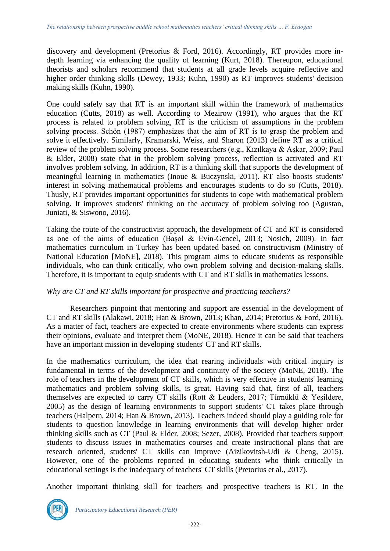discovery and development (Pretorius & Ford, 2016). Accordingly, RT provides more indepth learning via enhancing the quality of learning (Kurt, 2018). Thereupon, educational theorists and scholars recommend that students at all grade levels acquire reflective and higher order thinking skills (Dewey, 1933; Kuhn, 1990) as RT improves students' decision making skills (Kuhn, 1990).

One could safely say that RT is an important skill within the framework of mathematics education (Cutts, 2018) as well. According to Mezirow (1991), who argues that the RT process is related to problem solving, RT is the criticism of assumptions in the problem solving process. Schön (1987) emphasizes that the aim of RT is to grasp the problem and solve it effectively. Similarly, Kramarski, Weiss, and Sharon (2013) define RT as a critical review of the problem solving process. Some researchers (e.g., Kızılkaya & Aşkar, 2009; Paul & Elder, 2008) state that in the problem solving process, reflection is activated and RT involves problem solving. In addition, RT is a thinking skill that supports the development of meaningful learning in mathematics (Inoue & Buczynski, 2011). RT also boosts students' interest in solving mathematical problems and encourages students to do so (Cutts, 2018). Thusly, RT provides important opportunities for students to cope with mathematical problem solving. It improves students' thinking on the accuracy of problem solving too (Agustan, Juniati, & Siswono, 2016).

Taking the route of the constructivist approach, the development of CT and RT is considered as one of the aims of education (Başol & Evin-Gencel, 2013; Nosich, 2009). In fact mathematics curriculum in Turkey has been updated based on constructivism (Ministry of National Education [MoNE], 2018). This program aims to educate students as responsible individuals, who can think critically, who own problem solving and decision-making skills. Therefore, it is important to equip students with CT and RT skills in mathematics lessons.

# *Why are CT and RT skills important for prospective and practicing teachers?*

Researchers pinpoint that mentoring and support are essential in the development of CT and RT skills (Alakawi, 2018; Han & Brown, 2013; Khan, 2014; Pretorius & Ford, 2016). As a matter of fact, teachers are expected to create environments where students can express their opinions, evaluate and interpret them (MoNE, 2018). Hence it can be said that teachers have an important mission in developing students' CT and RT skills.

In the mathematics curriculum, the idea that rearing individuals with critical inquiry is fundamental in terms of the development and continuity of the society (MoNE, 2018). The role of teachers in the development of CT skills, which is very effective in students' learning mathematics and problem solving skills, is great. Having said that, first of all, teachers themselves are expected to carry CT skills (Rott & Leuders, 2017; Türnüklü & Yeşildere, 2005) as the design of learning environments to support students' CT takes place through teachers (Halpern, 2014; Han & Brown, 2013). Teachers indeed should play a guiding role for students to question knowledge in learning environments that will develop higher order thinking skills such as CT (Paul & Elder, 2008; Sezer, 2008). Provided that teachers support students to discuss issues in mathematics courses and create instructional plans that are research oriented, students' CT skills can improve (Aizikovitsh-Udi & Cheng, 2015). However, one of the problems reported in educating students who think critically in educational settings is the inadequacy of teachers' CT skills (Pretorius et al., 2017).

Another important thinking skill for teachers and prospective teachers is RT. In the

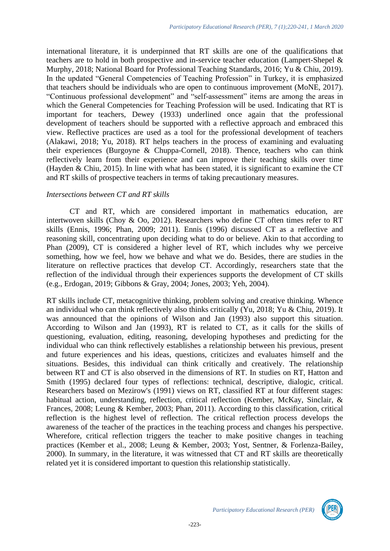international literature, it is underpinned that RT skills are one of the qualifications that teachers are to hold in both prospective and in-service teacher education (Lampert-Shepel & Murphy, 2018; National Board for Professional Teaching Standards, 2016; Yu & Chiu, 2019). In the updated "General Competencies of Teaching Profession" in Turkey, it is emphasized that teachers should be individuals who are open to continuous improvement (MoNE, 2017). "Continuous professional development" and "self-assessment" items are among the areas in which the General Competencies for Teaching Profession will be used. Indicating that RT is important for teachers, Dewey (1933) underlined once again that the professional development of teachers should be supported with a reflective approach and embraced this view. Reflective practices are used as a tool for the professional development of teachers (Alakawi, 2018; Yu, 2018). RT helps teachers in the process of examining and evaluating their experiences (Burgoyne & Chuppa-Cornell, 2018). Thence, teachers who can think reflectively learn from their experience and can improve their teaching skills over time (Hayden & Chiu, 2015). In line with what has been stated, it is significant to examine the CT and RT skills of prospective teachers in terms of taking precautionary measures.

### *Intersections between CT and RT skills*

CT and RT, which are considered important in mathematics education, are intertwoven skills (Choy & Oo, 2012). Researchers who define CT often times refer to RT skills (Ennis, 1996; Phan, 2009; 2011). Ennis (1996) discussed CT as a reflective and reasoning skill, concentrating upon deciding what to do or believe. Akin to that according to Phan (2009), CT is considered a higher level of RT, which includes why we perceive something, how we feel, how we behave and what we do. Besides, there are studies in the literature on reflective practices that develop CT. Accordingly, researchers state that the reflection of the individual through their experiences supports the development of CT skills (e.g., Erdogan, 2019; Gibbons & Gray, 2004; Jones, 2003; Yeh, 2004).

RT skills include CT, metacognitive thinking, problem solving and creative thinking. Whence an individual who can think reflectively also thinks critically (Yu, 2018; Yu & Chiu, 2019). It was announced that the opinions of Wilson and Jan (1993) also support this situation. According to Wilson and Jan (1993), RT is related to CT, as it calls for the skills of questioning, evaluation, editing, reasoning, developing hypotheses and predicting for the individual who can think reflectively establishes a relationship between his previous, present and future experiences and his ideas, questions, criticizes and evaluates himself and the situations. Besides, this individual can think critically and creatively. The relationship between RT and CT is also observed in the dimensions of RT. In studies on RT, Hatton and Smith (1995) declared four types of reflections: technical, descriptive, dialogic, critical. Researchers based on Mezirow's (1991) views on RT, classified RT at four different stages: habitual action, understanding, reflection, critical reflection (Kember, McKay, Sinclair, & Frances, 2008; Leung & Kember, 2003; Phan, 2011). According to this classification, critical reflection is the highest level of reflection. The critical reflection process develops the awareness of the teacher of the practices in the teaching process and changes his perspective. Wherefore, critical reflection triggers the teacher to make positive changes in teaching practices (Kember et al., 2008; Leung & Kember, 2003; Yost, Sentner, & Forlenza-Bailey, 2000). In summary, in the literature, it was witnessed that CT and RT skills are theoretically related yet it is considered important to question this relationship statistically.

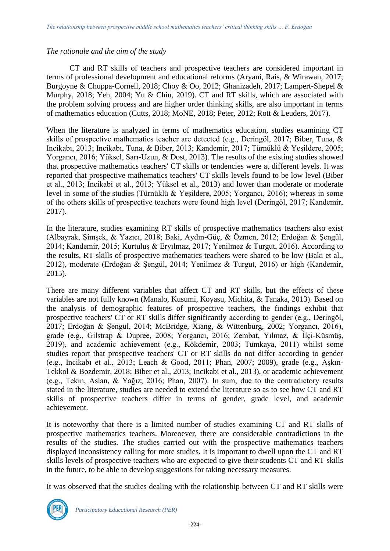### *The rationale and the aim of the study*

CT and RT skills of teachers and prospective teachers are considered important in terms of professional development and educational reforms (Aryani, Rais, & Wirawan, 2017; Burgoyne & Chuppa-Cornell, 2018; Choy & Oo, 2012; Ghanizadeh, 2017; Lampert-Shepel & Murphy, 2018; Yeh, 2004; Yu & Chiu, 2019). CT and RT skills, which are associated with the problem solving process and are higher order thinking skills, are also important in terms of mathematics education (Cutts, 2018; MoNE, 2018; Peter, 2012; Rott & Leuders, 2017).

When the literature is analyzed in terms of mathematics education, studies examining CT skills of prospective mathematics teacher are detected (e.g., Deringöl, 2017; Biber, Tuna, & Incikabı, 2013; Incikabı, Tuna, & Biber, 2013; Kandemir, 2017; Türnüklü & Yeşildere, 2005; Yorgancı, 2016; Yüksel, Sarı-Uzun, & Dost, 2013). The results of the existing studies showed that prospective mathematics teachers' CT skills or tendencies were at different levels. It was reported that prospective mathematics teachers' CT skills levels found to be low level (Biber et al., 2013; Incikabi et al., 2013; Yüksel et al., 2013) and lower than moderate or moderate level in some of the studies (Türnüklü & Yeşildere, 2005; Yorgancı, 2016); whereas in some of the others skills of prospective teachers were found high level (Deringöl, 2017; Kandemir, 2017).

In the literature, studies examining RT skills of prospective mathematics teachers also exist (Albayrak, Şimşek, & Yazıcı, 2018; Baki, Aydın-Güç, & Özmen, 2012; Erdoğan & Şengül, 2014; Kandemir, 2015; Kurtuluş & Eryılmaz, 2017; Yenilmez & Turgut, 2016). According to the results, RT skills of prospective mathematics teachers were shared to be low (Baki et al., 2012), moderate (Erdoğan & Şengül, 2014; Yenilmez & Turgut, 2016) or high (Kandemir, 2015).

There are many different variables that affect CT and RT skills, but the effects of these variables are not fully known (Manalo, Kusumi, Koyasu, Michita, & Tanaka, 2013). Based on the analysis of demographic features of prospective teachers, the findings exhibit that prospective teachers' CT or RT skills differ significantly according to gender (e.g., Deringöl, 2017; Erdoğan & Şengül, 2014; McBridge, Xiang, & Wittenburg, 2002; Yorgancı, 2016), grade (e.g., Gilstrap & Dupree, 2008; Yorgancı, 2016; Zembat, Yılmaz, & İlçi-Küsmüş, 2019), and academic achievement (e.g., Kökdemir, 2003; Tümkaya, 2011) whilst some studies report that prospective teachers' CT or RT skills do not differ according to gender (e.g., Incikabı et al., 2013; Leach & Good, 2011; Phan, 2007; 2009), grade (e.g., Aşkın-Tekkol & Bozdemir, 2018; Biber et al., 2013; Incikabi et al., 2013), or academic achievement (e.g., Tekin, Aslan, & Yağız; 2016; Phan, 2007). In sum, due to the contradictory results stated in the literature, studies are needed to extend the literature so as to see how CT and RT skills of prospective teachers differ in terms of gender, grade level, and academic achievement.

It is noteworthy that there is a limited number of studies examining CT and RT skills of prospective mathematics teachers. Moreoever, there are considerable contradictions in the results of the studies. The studies carried out with the prospective mathematics teachers displayed inconsistency calling for more studies. It is important to dwell upon the CT and RT skills levels of prospective teachers who are expected to give their students CT and RT skills in the future, to be able to develop suggestions for taking necessary measures.

It was observed that the studies dealing with the relationship between CT and RT skills were

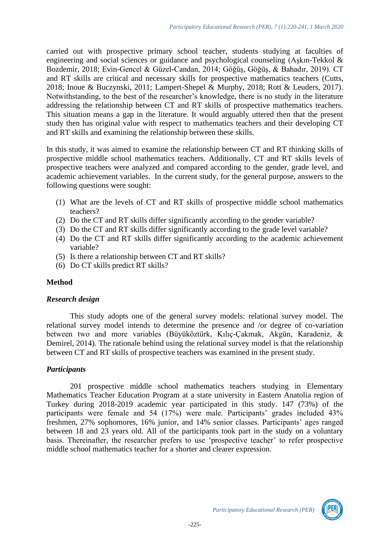carried out with prospective primary school teacher, students studying at faculties of engineering and social sciences or guidance and psychological counseling (Aşkın-Tekkol & Bozdemir, 2018; Evin-Gencel & Güzel-Candan, 2014; Göğüş, Göğüş, & Bahadır, 2019). CT and RT skills are critical and necessary skills for prospective mathematics teachers (Cutts, 2018; Inoue & Buczynski, 2011; Lampert-Shepel & Murphy, 2018; Rott & Leuders, 2017). Notwithstanding, to the best of the researcher's knowledge, there is no study in the literature addressing the relationship between CT and RT skills of prospective mathematics teachers. This situation means a gap in the literature. It would arguably uttered then that the present study then has original value with respect to mathematics teachers and their developing CT and RT skills and examining the relationship between these skills.

In this study, it was aimed to examine the relationship between CT and RT thinking skills of prospective middle school mathematics teachers. Additionally, CT and RT skills levels of prospective teachers were analyzed and compared according to the gender, grade level, and academic achievement variables. In the current study, for the general purpose, answers to the following questions were sought:

- (1) What are the levels of CT and RT skills of prospective middle school mathematics teachers?
- (2) Do the CT and RT skills differ significantly according to the gender variable?
- (3) Do the CT and RT skills differ significantly according to the grade level variable?
- (4) Do the CT and RT skills differ significantly according to the academic achievement variable?
- (5) Is there a relationship between CT and RT skills?
- (6) Do CT skills predict RT skills?

# **Method**

#### *Research design*

This study adopts one of the general survey models: relational survey model. The relational survey model intends to determine the presence and /or degree of co-variation between two and more variables (Büyüköztürk, Kılıç-Çakmak, Akgün, Karadeniz, & Demirel, 2014). The rationale behind using the relational survey model is that the relationship between CT and RT skills of prospective teachers was examined in the present study.

#### *Participants*

201 prospective middle school mathematics teachers studying in Elementary Mathematics Teacher Education Program at a state university in Eastern Anatolia region of Turkey during 2018-2019 academic year participated in this study. 147 (73%) of the participants were female and 54 (17%) were male. Participants' grades included 43% freshmen, 27% sophomores, 16% junior, and 14% senior classes. Participants' ages ranged between 18 and 23 years old. All of the participants took part in the study on a voluntary basis. Thereinafter, the researcher prefers to use 'prospective teacher' to refer prospective middle school mathematics teacher for a shorter and clearer expression.

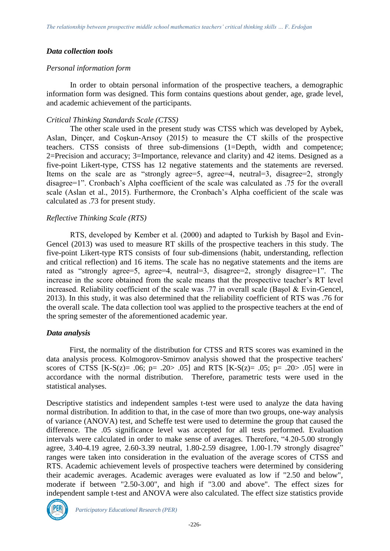#### *Data collection tools*

#### *Personal information form*

In order to obtain personal information of the prospective teachers, a demographic information form was designed. This form contains questions about gender, age, grade level, and academic achievement of the participants.

#### *Critical Thinking Standards Scale (CTSS)*

The other scale used in the present study was CTSS which was developed by Aybek, Aslan, Dinçer, and Coşkun-Arısoy (2015) to measure the CT skills of the prospective teachers. CTSS consists of three sub-dimensions (1=Depth, width and competence; 2=Precision and accuracy; 3=Importance, relevance and clarity) and 42 items. Designed as a five-point Likert-type, CTSS has 12 negative statements and the statements are reversed. Items on the scale are as "strongly agree=5, agree=4, neutral=3, disagree=2, strongly disagree=1". Cronbach's Alpha coefficient of the scale was calculated as .75 for the overall scale (Aslan et al., 2015). Furthermore, the Cronbach's Alpha coefficient of the scale was calculated as .73 for present study.

#### *Reflective Thinking Scale (RTS)*

RTS, developed by Kember et al. (2000) and adapted to Turkish by Başol and Evin-Gencel (2013) was used to measure RT skills of the prospective teachers in this study. The five-point Likert-type RTS consists of four sub-dimensions (habit, understanding, reflection and critical reflection) and 16 items. The scale has no negative statements and the items are rated as "strongly agree=5, agree=4, neutral=3, disagree=2, strongly disagree=1". The increase in the score obtained from the scale means that the prospective teacher's RT level increased. Reliability coefficient of the scale was .77 in overall scale (Başol & Evin-Gencel, 2013). In this study, it was also determined that the reliability coefficient of RTS was .76 for the overall scale. The data collection tool was applied to the prospective teachers at the end of the spring semester of the aforementioned academic year.

#### *Data analysis*

First, the normality of the distribution for CTSS and RTS scores was examined in the data analysis process. Kolmogorov-Smirnov analysis showed that the prospective teachers' scores of CTSS  $[K-S(z) = .06; p = .20 > .05]$  and RTS  $[K-S(z) = .05; p = .20 > .05]$  were in accordance with the normal distribution. Therefore, parametric tests were used in the statistical analyses.

Descriptive statistics and independent samples t-test were used to analyze the data having normal distribution. In addition to that, in the case of more than two groups, one-way analysis of variance (ANOVA) test, and Scheffe test were used to determine the group that caused the difference. The .05 significance level was accepted for all tests performed. Evaluation intervals were calculated in order to make sense of averages. Therefore, "4.20-5.00 strongly agree, 3.40-4.19 agree, 2.60-3.39 neutral, 1.80-2.59 disagree, 1.00-1.79 strongly disagree" ranges were taken into consideration in the evaluation of the average scores of CTSS and RTS. Academic achievement levels of prospective teachers were determined by considering their academic averages. Academic averages were evaluated as low if "2.50 and below", moderate if between "2.50-3.00", and high if "3.00 and above". The effect sizes for independent sample t-test and ANOVA were also calculated. The effect size statistics provide

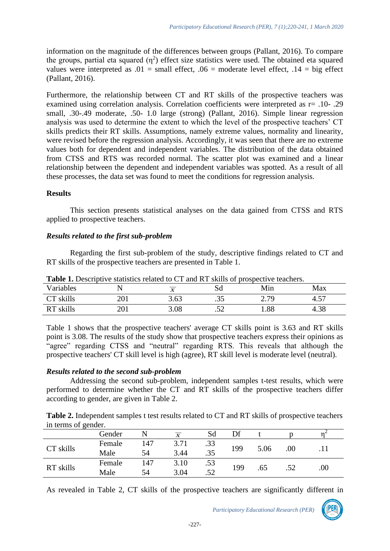information on the magnitude of the differences between groups (Pallant, 2016). To compare the groups, partial eta squared  $(\eta^2)$  effect size statistics were used. The obtained eta squared values were interpreted as  $.01$  = small effect,  $.06$  = moderate level effect,  $.14$  = big effect (Pallant, 2016).

Furthermore, the relationship between CT and RT skills of the prospective teachers was examined using correlation analysis. Correlation coefficients were interpreted as r= .10- .29 small, .30-.49 moderate, .50- 1.0 large (strong) (Pallant, 2016). Simple linear regression analysis was used to determine the extent to which the level of the prospective teachers' CT skills predicts their RT skills. Assumptions, namely extreme values, normality and linearity, were revised before the regression analysis. Accordingly, it was seen that there are no extreme values both for dependent and independent variables. The distribution of the data obtained from CTSS and RTS was recorded normal. The scatter plot was examined and a linear relationship between the dependent and independent variables was spotted. As a result of all these processes, the data set was found to meet the conditions for regression analysis.

#### **Results**

This section presents statistical analyses on the data gained from CTSS and RTS applied to prospective teachers.

#### *Results related to the first sub-problem*

Regarding the first sub-problem of the study, descriptive findings related to CT and RT skills of the prospective teachers are presented in Table 1.

| Variables           |            | $\overline{X}$ | υu     | Min          | Max            |
|---------------------|------------|----------------|--------|--------------|----------------|
| $\cap$ Tr<br>skills | າ∩1<br>∠∪⊥ | 3.63           | ر ر.   | 2 70<br>ر په | 57<br>$+ . 5.$ |
| skills<br>DТ        | 201<br>∠∪⊥ | 3.08           | $\sim$ | 1.88         | 4.38           |

**Table 1.** Descriptive statistics related to CT and RT skills of prospective teachers.

Table 1 shows that the prospective teachers' average CT skills point is 3.63 and RT skills point is 3.08. The results of the study show that prospective teachers express their opinions as "agree" regarding CTSS and "neutral" regarding RTS. This reveals that although the prospective teachers' CT skill level is high (agree), RT skill level is moderate level (neutral).

# *Results related to the second sub-problem*

Addressing the second sub-problem, independent samples t-test results, which were performed to determine whether the CT and RT skills of the prospective teachers differ according to gender, are given in Table 2.

**Table 2.** Independent samples t test results related to CT and RT skills of prospective teachers in terms of gender.

|           | Gender |     | $\boldsymbol{X}$ | Sd  | Df  |      |         |      |
|-----------|--------|-----|------------------|-----|-----|------|---------|------|
| CT skills | Female | 147 | 3.71             | .33 |     |      |         |      |
|           | Male   | 54  | 3.44             | .35 | 199 | 5.06 | $.00\,$ |      |
| RT skills | Female | 147 | 3.10             | .53 |     |      |         |      |
|           | Male   | 54  | 3.04             | .52 | 199 | .65  |         | .00. |

As revealed in Table 2, CT skills of the prospective teachers are significantly different in

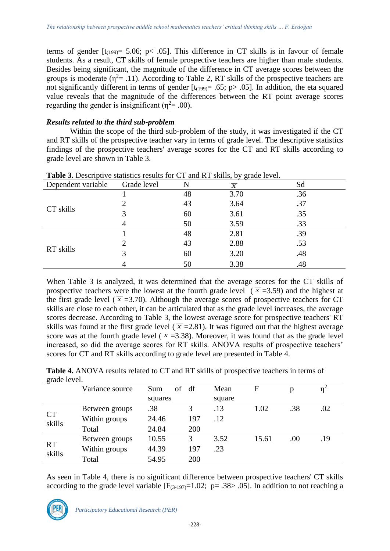terms of gender  $[t_{(199)} = 5.06; p< .05]$ . This difference in CT skills is in favour of female students. As a result, CT skills of female prospective teachers are higher than male students. Besides being significant, the magnitude of the difference in CT average scores between the groups is moderate ( $\eta^2$ = .11). According to Table 2, RT skills of the prospective teachers are not significantly different in terms of gender  $[t_{(199)} = .65; p > .05]$ . In addition, the eta squared value reveals that the magnitude of the differences between the RT point average scores regarding the gender is insignificant ( $\eta^2$ = .00).

# *Results related to the third sub-problem*

Within the scope of the third sub-problem of the study, it was investigated if the CT and RT skills of the prospective teacher vary in terms of grade level. The descriptive statistics findings of the prospective teachers' average scores for the CT and RT skills according to grade level are shown in Table 3.

| <b>Table 3.</b> Descriptive statistics results for CT and KT skills, by grade level. |             |    |                  |     |  |  |  |  |
|--------------------------------------------------------------------------------------|-------------|----|------------------|-----|--|--|--|--|
| Dependent variable                                                                   | Grade level |    | $\boldsymbol{X}$ | Sd  |  |  |  |  |
|                                                                                      |             | 48 | 3.70             | .36 |  |  |  |  |
|                                                                                      |             | 43 | 3.64             | .37 |  |  |  |  |
| CT skills                                                                            |             | 60 | 3.61             | .35 |  |  |  |  |
|                                                                                      |             | 50 | 3.59             | .33 |  |  |  |  |
|                                                                                      |             | 48 | 2.81             | .39 |  |  |  |  |
|                                                                                      |             | 43 | 2.88             | .53 |  |  |  |  |
| RT skills                                                                            |             | 60 | 3.20             | .48 |  |  |  |  |
|                                                                                      |             | 50 | 3.38             | .48 |  |  |  |  |

**Table 3.** Descriptive statistics results for CT and RT skills, by grade level.

When Table 3 is analyzed, it was determined that the average scores for the CT skills of prospective teachers were the lowest at the fourth grade level  $(\overline{x} = 3.59)$  and the highest at the first grade level ( $\overline{x}$  =3.70). Although the average scores of prospective teachers for CT skills are close to each other, it can be articulated that as the grade level increases, the average scores decrease. According to Table 3, the lowest average score for prospective teachers' RT skills was found at the first grade level ( $\bar{x}$  = 2.81). It was figured out that the highest average score was at the fourth grade level ( $\overline{x}$  =3.38). Moreover, it was found that as the grade level increased, so did the average scores for RT skills. ANOVA results of prospective teachers' scores for CT and RT skills according to grade level are presented in Table 4.

| grade level.        |                 |           |     |        |             |     |                               |
|---------------------|-----------------|-----------|-----|--------|-------------|-----|-------------------------------|
|                     | Variance source | οf<br>Sum | df  | Mean   | $\mathbf F$ | p   | $\eta^{\scriptscriptstyle A}$ |
|                     |                 | squares   |     | square |             |     |                               |
| <b>CT</b><br>skills | Between groups  | .38       | 3   | .13    | 1.02        | .38 | .02                           |
|                     | Within groups   | 24.46     | 197 | .12    |             |     |                               |
|                     | Total           | 24.84     | 200 |        |             |     |                               |
| <b>RT</b><br>skills | Between groups  | 10.55     | 3   | 3.52   | 15.61       | .00 | .19                           |
|                     | Within groups   | 44.39     | 197 | .23    |             |     |                               |
|                     | Total           | 54.95     | 200 |        |             |     |                               |

**Table 4.** ANOVA results related to CT and RT skills of prospective teachers in terms of grade level.

As seen in Table 4, there is no significant difference between prospective teachers' CT skills according to the grade level variable  $[F_{(3-197)}=1.02; p=.38>0.05]$ . In addition to not reaching a

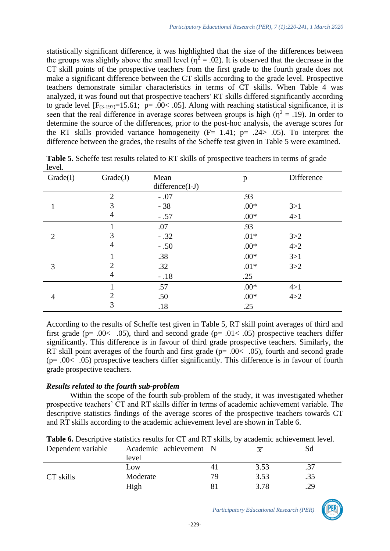statistically significant difference, it was highlighted that the size of the differences between the groups was slightly above the small level ( $\eta^2 = .02$ ). It is observed that the decrease in the CT skill points of the prospective teachers from the first grade to the fourth grade does not make a significant difference between the CT skills according to the grade level. Prospective teachers demonstrate similar characteristics in terms of CT skills. When Table 4 was analyzed, it was found out that prospective teachers' RT skills differed significantly according to grade level  $[F_{(3-197)}=15.61; p=.00<.05]$ . Along with reaching statistical significance, it is seen that the real difference in average scores between groups is high ( $\eta^2 = .19$ ). In order to determine the source of the differences, prior to the post-hoc analysis, the average scores for the RT skills provided variance homogeneity  $(F= 1.41; p= .24> .05)$ . To interpret the difference between the grades, the results of the Scheffe test given in Table 5 were examined.

| Grade(I)       | Grade(J)       | Mean<br>difference(I-J) | $\mathbf{p}$ | Difference |
|----------------|----------------|-------------------------|--------------|------------|
|                | $\overline{2}$ | $-.07$                  | .93          |            |
| 1              | 3              | $-38$                   | $.00*$       | 3 > 1      |
|                | 4              | $-.57$                  | $.00*$       | 4>1        |
|                |                | .07                     | .93          |            |
| $\overline{2}$ | 3              | $-.32$                  | $.01*$       | 3 > 2      |
|                | 4              | $-.50$                  | $.00*$       | 4 > 2      |
|                |                | .38                     | $.00*$       | 3>1        |
| 3              | 2              | .32                     | $.01*$       | 3 > 2      |
|                | 4              | $-.18$                  | .25          |            |
|                |                | .57                     | $.00*$       | 4>1        |
| $\overline{4}$ | 2              | .50                     | $.00*$       | 4 > 2      |
|                | 3              | .18                     | .25          |            |

**Table 5.** Scheffe test results related to RT skills of prospective teachers in terms of grade level.

According to the results of Scheffe test given in Table 5, RT skill point averages of third and first grade ( $p = .00 < .05$ ), third and second grade ( $p = .01 < .05$ ) prospective teachers differ significantly. This difference is in favour of third grade prospective teachers. Similarly, the RT skill point averages of the fourth and first grade (p=  $.00< .05$ ), fourth and second grade (p= .00< .05) prospective teachers differ significantly. This difference is in favour of fourth grade prospective teachers.

# *Results related to the fourth sub-problem*

Within the scope of the fourth sub-problem of the study, it was investigated whether prospective teachers' CT and RT skills differ in terms of academic achievement variable. The descriptive statistics findings of the average scores of the prospective teachers towards CT and RT skills according to the academic achievement level are shown in Table 6.

| Dependent variable | Academic achievement N |    | $\boldsymbol{x}$ | Sd  |
|--------------------|------------------------|----|------------------|-----|
|                    | level                  |    |                  |     |
|                    | Low                    |    | 3.53             |     |
| CT skills          | Moderate               | 79 | 3.53             | .35 |
|                    | High                   |    | 3 78             | .29 |

**Table 6.** Descriptive statistics results for CT and RT skills, by academic achievement level.

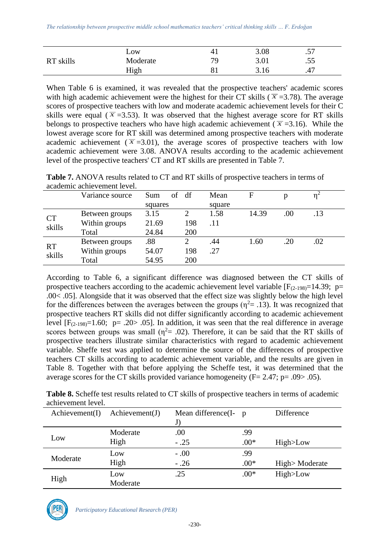|           | LOW      | 4 <sub>1</sub> | 3.08 | $\epsilon$ –<br>ر ر. |  |
|-----------|----------|----------------|------|----------------------|--|
| RT skills | Moderate | 70             | 3.01 | .55                  |  |
|           | High     | 81             | 3.16 | .47                  |  |

When Table 6 is examined, it was revealed that the prospective teachers' academic scores with high academic achievement were the highest for their CT skills ( $\bar{x}$  =3.78). The average scores of prospective teachers with low and moderate academic achievement levels for their C skills were equal ( $\bar{x}$  =3.53). It was observed that the highest average score for RT skills belongs to prospective teachers who have high academic achievement ( $\bar{x}$  =3.16). While the lowest average score for RT skill was determined among prospective teachers with moderate academic achievement ( $\bar{x}$  =3.01), the average scores of prospective teachers with low academic achievement were 3.08. ANOVA results according to the academic achievement level of the prospective teachers' CT and RT skills are presented in Table 7.

**Table 7.** ANOVA results related to CT and RT skills of prospective teachers in terms of academic achievement level.

|                     | Variance source | Sum<br>of | df  | Mean   | $\mathbf{F}$ | p   |     |
|---------------------|-----------------|-----------|-----|--------|--------------|-----|-----|
|                     |                 | squares   |     | square |              |     |     |
| <b>CT</b><br>skills | Between groups  | 3.15      | 2   | 1.58   | 14.39        | .00 | .13 |
|                     | Within groups   | 21.69     | 198 | .11    |              |     |     |
|                     | Total           | 24.84     | 200 |        |              |     |     |
| <b>RT</b><br>skills | Between groups  | .88       |     | .44    | 1.60         | .20 | .02 |
|                     | Within groups   | 54.07     | 198 | .27    |              |     |     |
|                     | Total           | 54.95     | 200 |        |              |     |     |

According to Table 6, a significant difference was diagnosed between the CT skills of prospective teachers according to the academic achievement level variable  $[F_{(2-198)}=14.39; p=$ .00< .05]. Alongside that it was observed that the effect size was slightly below the high level for the differences between the averages between the groups ( $\eta^2$  = .13). It was recognized that prospective teachers RT skills did not differ significantly according to academic achievement level  $[F_{(2-198)}=1.60; p=.20>0.05]$ . In addition, it was seen that the real difference in average scores between groups was small ( $\eta^2$  = .02). Therefore, it can be said that the RT skills of prospective teachers illustrate similar characteristics with regard to academic achievement variable. Sheffe test was applied to determine the source of the differences of prospective teachers CT skills according to academic achievement variable, and the results are given in Table 8. Together with that before applying the Scheffe test, it was determined that the average scores for the CT skills provided variance homogeneity ( $F = 2.47$ ;  $p = .09$ ) $> .05$ ).

| <b>Table 8.</b> Scheffe test results related to CT skills of prospective teachers in terms of academic |  |
|--------------------------------------------------------------------------------------------------------|--|
| achievement level.                                                                                     |  |

| $A$ chievement(I) | $\text{Achievement}(J)$ | Mean difference $(I - p)$ |        | Difference    |
|-------------------|-------------------------|---------------------------|--------|---------------|
|                   |                         | J                         |        |               |
|                   | Moderate                | .00                       | .99    |               |
| Low               | High                    | $-.25$                    | $.00*$ | High>Low      |
| Moderate          | Low                     | $-.00$                    | .99    |               |
|                   | High                    | $-.26$                    | $.00*$ | High>Moderate |
| High              | Low                     | .25                       | $.00*$ | High>Low      |
|                   | Moderate                |                           |        |               |

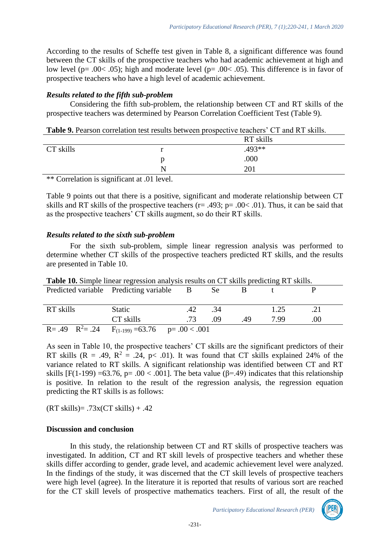According to the results of Scheffe test given in Table 8, a significant difference was found between the CT skills of the prospective teachers who had academic achievement at high and low level (p=  $.00<$   $.05$ ); high and moderate level (p=  $.00<$   $.05$ ). This difference is in favor of prospective teachers who have a high level of academic achievement.

### *Results related to the fifth sub-problem*

Considering the fifth sub-problem, the relationship between CT and RT skills of the prospective teachers was determined by Pearson Correlation Coefficient Test (Table 9).

**Table 9.** Pearson correlation test results between prospective teachers' CT and RT skills.

|                                           |                         | RT skills |  |
|-------------------------------------------|-------------------------|-----------|--|
| CT skills                                 |                         | .493**    |  |
|                                           |                         | .000      |  |
|                                           |                         | 201       |  |
| $\cdots$<br>$\sim$ $\sim$<br>$\mathbf{1}$ | $\sqrt{1 + 0.11}$<br>-1 |           |  |

\*\* Correlation is significant at .01 level.

Table 9 points out that there is a positive, significant and moderate relationship between CT skills and RT skills of the prospective teachers ( $r = .493$ ;  $p = .00 < .01$ ). Thus, it can be said that as the prospective teachers' CT skills augment, so do their RT skills.

### *Results related to the sixth sub-problem*

For the sixth sub-problem, simple linear regression analysis was performed to determine whether CT skills of the prospective teachers predicted RT skills, and the results are presented in Table 10.

| <b>Table 10.</b> Simple linear regression analysis results on CT skills predicting RT skills. |                                          |     |      |    |      |     |  |  |  |
|-----------------------------------------------------------------------------------------------|------------------------------------------|-----|------|----|------|-----|--|--|--|
|                                                                                               | Predicted variable Predicting variable B |     | Se s |    |      |     |  |  |  |
|                                                                                               |                                          |     |      |    |      |     |  |  |  |
| RT skills                                                                                     | <b>Static</b>                            | .42 | .34  |    | 1.25 | .21 |  |  |  |
|                                                                                               | CT skills                                | 73  | 09   | 49 | 7.99 | .00 |  |  |  |
| $R = .49$ $R^2 = .24$                                                                         | $F_{(1-199)} = 63.76$ p= $.00 < .001$    |     |      |    |      |     |  |  |  |

As seen in Table 10, the prospective teachers' CT skills are the significant predictors of their RT skills (R = .49, R<sup>2</sup> = .24, p< .01). It was found that CT skills explained 24% of the variance related to RT skills. A significant relationship was identified between CT and RT skills  $[F(1-199) = 63.76, p = .00 < .001]$ . The beta value ( $\beta = .49$ ) indicates that this relationship is positive. In relation to the result of the regression analysis, the regression equation predicting the RT skills is as follows:

 $(RT \, skills) = .73x(CT \, skills) + .42$ 

#### **Discussion and conclusion**

In this study, the relationship between CT and RT skills of prospective teachers was investigated. In addition, CT and RT skill levels of prospective teachers and whether these skills differ according to gender, grade level, and academic achievement level were analyzed. In the findings of the study, it was discerned that the CT skill levels of prospective teachers were high level (agree). In the literature it is reported that results of various sort are reached for the CT skill levels of prospective mathematics teachers. First of all, the result of the

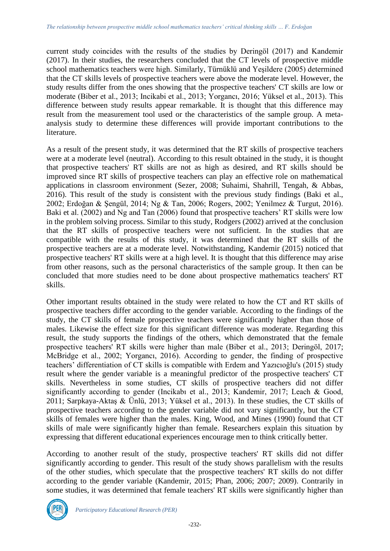current study coincides with the results of the studies by Deringöl (2017) and Kandemir (2017). In their studies, the researchers concluded that the CT levels of prospective middle school mathematics teachers were high. Similarly, Türnüklü and Yeşildere (2005) determined that the CT skills levels of prospective teachers were above the moderate level. However, the study results differ from the ones showing that the prospective teachers' CT skills are low or moderate (Biber et al., 2013; Incikabi et al., 2013; Yorgancı, 2016; Yüksel et al., 2013). This difference between study results appear remarkable. It is thought that this difference may result from the measurement tool used or the characteristics of the sample group. A metaanalysis study to determine these differences will provide important contributions to the literature.

As a result of the present study, it was determined that the RT skills of prospective teachers were at a moderate level (neutral). According to this result obtained in the study, it is thought that prospective teachers' RT skills are not as high as desired, and RT skills should be improved since RT skills of prospective teachers can play an effective role on mathematical applications in classroom environment (Sezer, 2008; Suhaimi, Shahrill, Tengah, & Abbas, 2016). This result of the study is consistent with the previous study findings (Baki et al., 2002; Erdoğan & Şengül, 2014; Ng & Tan, 2006; Rogers, 2002; Yenilmez & Turgut, 2016). Baki et al. (2002) and Ng and Tan (2006) found that prospective teachers' RT skills were low in the problem solving process. Similar to this study, Rodgers (2002) arrived at the conclusion that the RT skills of prospective teachers were not sufficient. In the studies that are compatible with the results of this study, it was determined that the RT skills of the prospective teachers are at a moderate level. Notwithstanding, Kandemir (2015) noticed that prospective teachers' RT skills were at a high level. It is thought that this difference may arise from other reasons, such as the personal characteristics of the sample group. It then can be concluded that more studies need to be done about prospective mathematics teachers' RT skills.

Other important results obtained in the study were related to how the CT and RT skills of prospective teachers differ according to the gender variable. According to the findings of the study, the CT skills of female prospective teachers were significantly higher than those of males. Likewise the effect size for this significant difference was moderate. Regarding this result, the study supports the findings of the others, which demonstrated that the female prospective teachers' RT skills were higher than male (Biber et al., 2013; Deringöl, 2017; McBridge et al., 2002; Yorgancı, 2016). According to gender, the finding of prospective teachers' differentiation of CT skills is compatible with Erdem and Yazıcıoğlu's (2015) study result where the gender variable is a meaningful predictor of the prospective teachers' CT skills. Nevertheless in some studies, CT skills of prospective teachers did not differ significantly according to gender (Incikabı et al., 2013; Kandemir, 2017; Leach & Good, 2011; Sarpkaya-Aktaş & Ünlü, 2013; Yüksel et al., 2013). In these studies, the CT skills of prospective teachers according to the gender variable did not vary significantly, but the CT skills of females were higher than the males. King, Wood, and Mines (1990) found that CT skills of male were significantly higher than female. Researchers explain this situation by expressing that different educational experiences encourage men to think critically better.

According to another result of the study, prospective teachers' RT skills did not differ significantly according to gender. This result of the study shows parallelism with the results of the other studies, which speculate that the prospective teachers' RT skills do not differ according to the gender variable (Kandemir, 2015; Phan, 2006; 2007; 2009). Contrarily in some studies, it was determined that female teachers' RT skills were significantly higher than

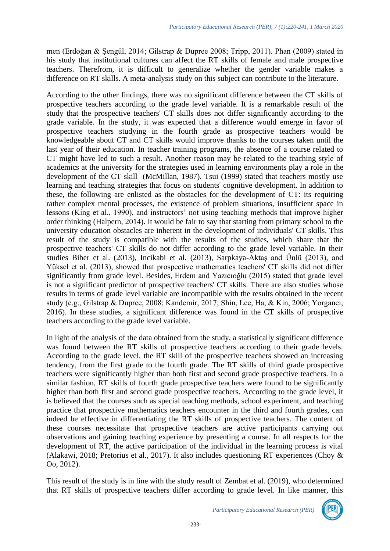men (Erdoğan & Şengül, 2014; Gilstrap & Dupree 2008; Tripp, 2011). Phan (2009) stated in his study that institutional cultures can affect the RT skills of female and male prospective teachers. Therefrom, it is difficult to generalize whether the gender variable makes a difference on RT skills. A meta-analysis study on this subject can contribute to the literature.

According to the other findings, there was no significant difference between the CT skills of prospective teachers according to the grade level variable. It is a remarkable result of the study that the prospective teachers' CT skills does not differ significantly according to the grade variable. In the study, it was expected that a difference would emerge in favor of prospective teachers studying in the fourth grade as prospective teachers would be knowledgeable about CT and CT skills would improve thanks to the courses taken until the last year of their education. In teacher training programs, the absence of a course related to CT might have led to such a result. Another reason may be related to the teaching style of academics at the university for the strategies used in learning environments play a role in the development of the CT skill (McMillan, 1987). Tsui (1999) stated that teachers mostly use learning and teaching strategies that focus on students' cognitive development. In addition to these, the following are enlisted as the obstacles for the development of CT: its requiring rather complex mental processes, the existence of problem situations, insufficient space in lessons (King et al., 1990), and instructors' not using teaching methods that improve higher order thinking (Halpern, 2014). It would be fair to say that starting from primary school to the university education obstacles are inherent in the development of individuals' CT skills. This result of the study is compatible with the results of the studies, which share that the prospective teachers' CT skills do not differ according to the grade level variable. In their studies Biber et al. (2013), Incikabi et al. (2013), Sarpkaya-Aktaş and Ünlü (2013), and Yüksel et al. (2013), showed that prospective mathematics teachers' CT skills did not differ significantly from grade level. Besides, Erdem and Yazıcıoğlu (2015) stated that grade level is not a significant predictor of prospective teachers' CT skills. There are also studies whose results in terms of grade level variable are incompatible with the results obtained in the recent study (e.g., Gilstrap & Dupree, 2008; Kandemir, 2017; Shin, Lee, Ha, & Kin, 2006; Yorgancı, 2016). In these studies, a significant difference was found in the CT skills of prospective teachers according to the grade level variable.

In light of the analysis of the data obtained from the study, a statistically significant difference was found between the RT skills of prospective teachers according to their grade levels. According to the grade level, the RT skill of the prospective teachers showed an increasing tendency, from the first grade to the fourth grade. The RT skills of third grade prospective teachers were significantly higher than both first and second grade prospective teachers. In a similar fashion, RT skills of fourth grade prospective teachers were found to be significantly higher than both first and second grade prospective teachers. According to the grade level, it is believed that the courses such as special teaching methods, school experiment, and teaching practice that prospective mathematics teachers encounter in the third and fourth grades, can indeed be effective in differentiating the RT skills of prospective teachers. The content of these courses necessitate that prospective teachers are active participants carrying out observations and gaining teaching experience by presenting a course. In all respects for the development of RT, the active participation of the individual in the learning process is vital (Alakawi, 2018; Pretorius et al., 2017). It also includes questioning RT experiences (Choy & Oo, 2012).

This result of the study is in line with the study result of Zembat et al. (2019), who determined that RT skills of prospective teachers differ according to grade level. In like manner, this

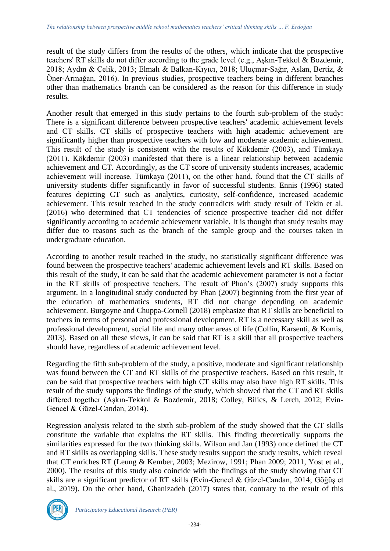result of the study differs from the results of the others, which indicate that the prospective teachers' RT skills do not differ according to the grade level (e.g., Aşkın-Tekkol & Bozdemir, 2018; Aydın & Çelik, 2013; Elmalı & Balkan-Kıyıcı, 2018; Uluçınar-Sağır, Aslan, Bertiz, & Öner-Armağan, 2016). In previous studies, prospective teachers being in different branches other than mathematics branch can be considered as the reason for this difference in study results.

Another result that emerged in this study pertains to the fourth sub-problem of the study: There is a significant difference between prospective teachers' academic achievement levels and CT skills. CT skills of prospective teachers with high academic achievement are significantly higher than prospective teachers with low and moderate academic achievement. This result of the study is consistent with the results of Kökdemir (2003), and Tümkaya (2011). Kökdemir (2003) manifested that there is a linear relationship between academic achievement and CT. Accordingly, as the CT score of university students increases, academic achievement will increase. Tümkaya (2011), on the other hand, found that the CT skills of university students differ significantly in favor of successful students. Ennis (1996) stated features depicting CT such as analytics, curiosity, self-confidence, increased academic achievement. This result reached in the study contradicts with study result of Tekin et al. (2016) who determined that CT tendencies of science prospective teacher did not differ significantly according to academic achievement variable. It is thought that study results may differ due to reasons such as the branch of the sample group and the courses taken in undergraduate education.

According to another result reached in the study, no statistically significant difference was found between the prospective teachers' academic achievement levels and RT skills. Based on this result of the study, it can be said that the academic achievement parameter is not a factor in the RT skills of prospective teachers. The result of Phan's (2007) study supports this argument. In a longitudinal study conducted by Phan (2007) beginning from the first year of the education of mathematics students, RT did not change depending on academic achievement. Burgoyne and Chuppa-Cornell (2018) emphasize that RT skills are beneficial to teachers in terms of personal and professional development. RT is a necessary skill as well as professional development, social life and many other areas of life (Collin, Karsenti, & Komis, 2013). Based on all these views, it can be said that RT is a skill that all prospective teachers should have, regardless of academic achievement level.

Regarding the fifth sub-problem of the study, a positive, moderate and significant relationship was found between the CT and RT skills of the prospective teachers. Based on this result, it can be said that prospective teachers with high CT skills may also have high RT skills. This result of the study supports the findings of the study, which showed that the CT and RT skills differed together (Aşkın-Tekkol & Bozdemir, 2018; Colley, Bilics, & Lerch, 2012; Evin-Gencel & Güzel-Candan, 2014).

Regression analysis related to the sixth sub-problem of the study showed that the CT skills constitute the variable that explains the RT skills. This finding theoretically supports the similarities expressed for the two thinking skills. Wilson and Jan (1993) once defined the CT and RT skills as overlapping skills. These study results support the study results, which reveal that CT enriches RT (Leung & Kember, 2003; Mezirow, 1991; Phan 2009; 2011, Yost et al., 2000). The results of this study also coincide with the findings of the study showing that CT skills are a significant predictor of RT skills (Evin-Gencel & Güzel-Candan, 2014; Göğüş et al., 2019). On the other hand, Ghanizadeh (2017) states that, contrary to the result of this

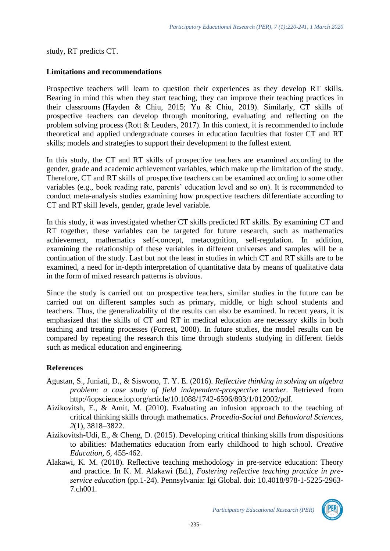study, RT predicts CT.

### **Limitations and recommendations**

Prospective teachers will learn to question their experiences as they develop RT skills. Bearing in mind this when they start teaching, they can improve their teaching practices in their classrooms (Hayden & Chiu, 2015; Yu & Chiu, 2019). Similarly, CT skills of prospective teachers can develop through monitoring, evaluating and reflecting on the problem solving process (Rott & Leuders, 2017). In this context, it is recommended to include theoretical and applied undergraduate courses in education faculties that foster CT and RT skills; models and strategies to support their development to the fullest extent.

In this study, the CT and RT skills of prospective teachers are examined according to the gender, grade and academic achievement variables, which make up the limitation of the study. Therefore, CT and RT skills of prospective teachers can be examined according to some other variables (e.g., book reading rate, parents' education level and so on). It is recommended to conduct meta-analysis studies examining how prospective teachers differentiate according to CT and RT skill levels, gender, grade level variable.

In this study, it was investigated whether CT skills predicted RT skills. By examining CT and RT together, these variables can be targeted for future research, such as mathematics achievement, mathematics self-concept, metacognition, self-regulation. In addition, examining the relationship of these variables in different universes and samples will be a continuation of the study. Last but not the least in studies in which CT and RT skills are to be examined, a need for in-depth interpretation of quantitative data by means of qualitative data in the form of mixed research patterns is obvious.

Since the study is carried out on prospective teachers, similar studies in the future can be carried out on different samples such as primary, middle, or high school students and teachers. Thus, the generalizability of the results can also be examined. In recent years, it is emphasized that the skills of CT and RT in medical education are necessary skills in both teaching and treating processes (Forrest, 2008). In future studies, the model results can be compared by repeating the research this time through students studying in different fields such as medical education and engineering.

# **References**

- Agustan, S., Juniati, D., & Siswono, T. Y. E. (2016). *Reflective thinking in solving an algebra problem: a case study of field independent-prospective teacher.* Retrieved from http://iopscience.iop.org/article/10.1088/1742-6596/893/1/012002/pdf.
- Aizikovitsh, E., & Amit, M. (2010). Evaluating an infusion approach to the teaching of critical thinking skills through mathematics. *Procedia-Social and Behavioral Sciences, 2*(1), 3818–3822.
- Aizikovitsh-Udi, E., & Cheng, D. (2015). Developing critical thinking skills from dispositions to abilities: Mathematics education from early childhood to high school. *Creative Education, 6,* 455-462.
- Alakawi, K. M. (2018). Reflective teaching methodology in pre-service education: Theory and practice. In K. M. Alakawi (Ed.), *Fostering reflective teaching practice in preservice education* (pp.1-24). Pennsylvania: Igi Global. doi: 10.4018/978-1-5225-2963- 7.ch001.

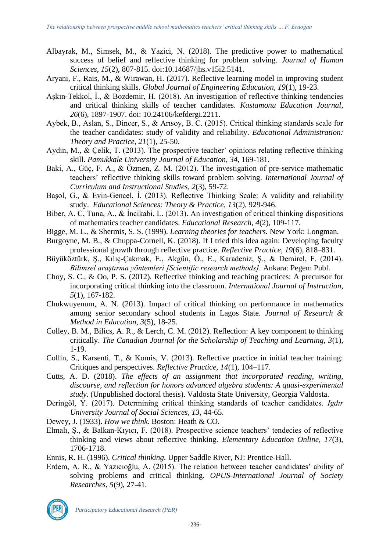- Albayrak, M., Simsek, M., & Yazici, N. (2018). The predictive power to mathematical success of belief and reflective thinking for problem solving. *Journal of Human Sciences*, *15*(2), 807-815. doi:10.14687/jhs.v15i2.5141.
- Aryani, F., Rais, M., & Wirawan, H. (2017). Reflective learning model in improving student critical thinking skills. *Global Journal of Engineering Education, 19*(1), 19-23.
- Aşkın-Tekkol, İ., & Bozdemir, H. (2018). An investigation of reflective thinking tendencies and critical thinking skills of teacher candidates. *Kastamonu Education Journal*, *26*(6), 1897-1907. doi: 10.24106/kefdergi.2211.
- Aybek, B., Aslan, S., Dincer, S., & Arısoy, B. C. (2015). Critical thinking standards scale for the teacher candidates: study of validity and reliability. *Educational Administration: Theory and Practice*, *21*(1), 25-50.
- Aydın, M., & Çelik, T. (2013). The prospective teacher' opinions relating reflective thinking skill. *Pamukkale University Journal of Education, 34*, 169-181.
- Baki, A., Güç, F. A., & Özmen, Z. M. (2012). The investigation of pre-service mathematic teachers' reflective thinking skills toward problem solving. *International Journal of Curriculum and Instructional Studies, 2*(3), 59-72.
- Başol, G., & Evin-Gencel, İ. (2013). Reflective Thinking Scale: A validity and reliability study. *Educational Sciences: Theory & Practice*, *13*(2), 929-946.
- Biber, A. C, Tuna, A., & İncikabi, L. (2013). An investigation of critical thinking dispositions of mathematics teacher candidates. *Educational Research, 4*(2), 109-117.
- Bigge, M. L., & Shermis, S. S. (1999). *Learning theories for teachers.* New York: Longman.
- Burgoyne, M. B., & Chuppa-Cornell, K. (2018). If I tried this idea again: Developing faculty professional growth through reflective practice. *Reflective Practice, 19*(6), 818–831.
- Büyüköztürk, Ş., Kılıç-Çakmak, E., Akgün, Ö., E., Karadeniz, Ş., & Demirel, F. (2014). *Bilimsel araştırma yöntemleri [Scientific research methods].* Ankara: Pegem Publ.
- Choy, S. C., & Oo, P. S. (2012). Reflective thinking and teaching practices: A precursor for incorporating critical thinking into the classroom. *International Journal of Instruction, 5*(1), 167-182.
- Chukwuyenum, A. N. (2013). Impact of critical thinking on performance in mathematics among senior secondary school students in Lagos State. *Journal of Research & Method in Education, 3*(5), 18-25.
- Colley, B. M., Bilics, A. R., & Lerch, C. M. (2012). Reflection: A key component to thinking critically. *The Canadian Journal for the Scholarship of Teaching and Learning, 3*(1), 1-19.
- Collin, S., Karsenti, T., & Komis, V. (2013). Reflective practice in initial teacher training: Critiques and perspectives. *Reflective Practice, 14*(1), 104–117.
- Cutts, A. D. (2018). *The effects of an assignment that incorporated reading, writing, discourse, and reflection for honors advanced algebra students: A quasi-experimental study.* (Unpublished doctoral thesis). Valdosta State University, Georgia Valdosta.
- Deringöl, Y. (2017). Determining critical thinking standards of teacher candidates. *Igdır University Journal of Social Sciences, 13,* 44-65.
- Dewey, J. (1933). *How we think.* Boston: Heath & CO.
- Elmalı, Ş., & Balkan-Kıyıcı, F. (2018). Prospective science teachers' tendecies of reflective thinking and views about reflective thinking. *Elementary Education Online, 17*(3), 1706-1718.
- Ennis, R. H. (1996). *Critical thinking.* Upper Saddle River, NJ: Prentice-Hall.
- Erdem, A. R., & Yazıcıoğlu, A. (2015). The relation between teacher candidates' ability of solving problems and critical thinking. *OPUS-International Journal of Society Researches, 5*(9), 27-41.

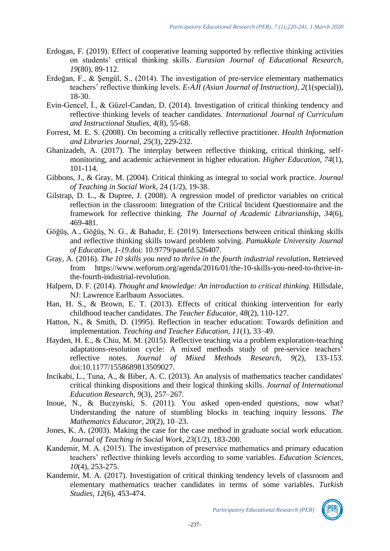- Erdogan, F. (2019). Effect of cooperative learning supported by reflective thinking activities on students' critical thinking skills. *Eurasian Journal of Educational Research, 19*(80), 89-112.
- Erdoğan, F., & Şengül, S., (2014). The investigation of pre-service elementary mathematics teachers' reflective thinking levels. *E-AJI (Asian Journal of Instruction), 2*(1(special)), 18-30.
- Evin-Gencel, İ., & Güzel-Candan, D. (2014). Investigation of critical thinking tendency and reflective thinking levels of teacher candidates. *International Journal of Curriculum and Instructional Studies, 4*(8), 55-68.
- Forrest, M. E. S. (2008). On becoming a critically reflective practitioner. *Health Information and Libraries Journal, 25*(3), 229-232.
- Ghanizadeh, A. (2017). The interplay between reflective thinking, critical thinking, selfmonitoring, and academic achievement in higher education. *Higher Education, 74*(1), 101-114.
- Gibbons, J., & Gray, M. (2004). Critical thinking as integral to social work practice. *Journal of Teaching in Social Work,* 24 (1/2), 19-38.
- Gilstrap, D. L., & Dupree, J. (2008). A regression model of predictor variables on critical reflection in the classroom: Integration of the Critical Incident Questionnaire and the framework for reflective thinking. *The Journal of Academic Librarianship*, *34*(6), 469-481.
- Göğüş, A., Göğüş, N. G., & Bahadır, E. (2019). Intersections between critical thinking skills and reflective thinking skills toward problem solving. *Pamukkale University Journal of Education, 1-19.*doi: 10.9779/pauefd.526407.
- Gray, A. (2016). *The 10 skills you need to thrive in the fourth industrial revolution***.** Retrieved from https://www.weforum.org/agenda/2016/01/the-10-skills-you-need-to-thrive-inthe-fourth-industrial-revolution.
- Halpern, D. F. (2014). *Thought and knowledge: An introduction to critical thinking*. Hillsdale, NJ: Lawrence Earlbaum Associates.
- Han, H. S., & Brown, E. T. (2013). Effects of critical thinking intervention for early childhood teacher candidates. *The Teacher Educator, 48*(2), 110-127.
- Hatton, N., & Smith, D. (1995). Reflection in teacher education: Towards definition and implementation. *Teaching and Teacher Education, 11*(1), 33–49.
- Hayden, H. E., & Chiu, M. M. (2015). Reflective teaching via a problem exploration-teaching adaptations-resolution cycle: A mixed methods study of pre-service teachers' reflective notes. *Journal of Mixed Methods Research, 9*(2), 133-153. doi:10.1177/1558689813509027.
- Incikabi, L., Tuna, A., & Biber, A. C. (2013). An analysis of mathematics teacher candidates' critical thinking dispositions and their logical thinking skills. *Journal of International Education Research, 9*(3), 257–267.
- Inoue, N., & Buczynski, S. (2011). You asked open-ended questions, now what? Understanding the nature of stumbling blocks in teaching inquiry lessons. *The Mathematics Educator, 20*(2), 10–23.
- Jones, K. A. (2003). Making the case for the case method in graduate social work education. *Journal of Teaching in Social Work, 23*(1/2), 183-200.
- Kandemir, M. A. (2015). The investigatıon of preservice mathematics and primary education teachers' reflective thinking levels according to some variables. *Education Sciences, 10*(4), 253-275.
- Kandemir, M. A. (2017). Investigation of critical thinking tendency levels of classroom and elementary mathematics teacher candidates in terms of some variables. *Turkish Studies, 12*(6), 453-474.

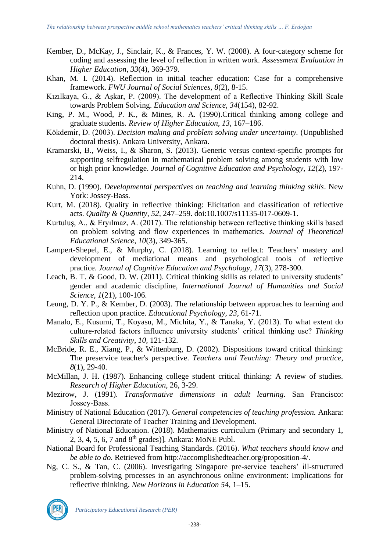- Kember, D., McKay, J., Sinclair, K., & Frances, Y. W. (2008). A four-category scheme for coding and assessing the level of reflection in written work. *Assessment Evaluation in Higher Education*, *33*(4), 369-379.
- Khan, M. I. (2014). Reflection in initial teacher education: Case for a comprehensive framework. *FWU Journal of Social Sciences, 8*(2), 8-15.
- Kızılkaya, G., & Aşkar, P. (2009). The development of a Reflective Thinking Skill Scale towards Problem Solving. *Education and Science, 34*(154), 82-92.
- King, P. M., Wood, P. K., & Mines, R. A. (1990).Critical thinking among college and graduate students. *Review of Higher Education*, *13*, 167–186.
- Kökdemir, D. (2003). *Decision making and problem solving under uncertainty.* (Unpublished doctoral thesis). Ankara University, Ankara.
- Kramarski, B., Weiss, I., & Sharon, S. (2013). Generic versus context-specific prompts for supporting selfregulation in mathematical problem solving among students with low or high prior knowledge. *Journal of Cognitive Education and Psychology, 12*(2), 197- 214.
- Kuhn, D. (1990). *Developmental perspectives on teaching and learning thinking skills*. New York: Jossey-Bass.
- Kurt, M. (2018). Quality in reflective thinking: Elicitation and classification of reflective acts. *Quality & Quantity, 52,* 247–259. doi:10.1007/s11135-017-0609-1.
- Kurtuluş, A., & Eryılmaz, A. (2017). The relationship between reflective thinking skills based on problem solving and flow experiences in mathematics. *Journal of Theoretical Educational Science, 10*(3), 349-365.
- Lampert-Shepel, E., & Murphy, C. (2018). Learning to reflect: Teachers' mastery and development of mediational means and psychological tools of reflective practice. *Journal of Cognitive Education and Psychology*, *17*(3), 278-300.
- Leach, B. T. & Good, D. W. (2011). Critical thinking skills as related to university students' gender and academic discipline, *International Journal of Humanities and Social Science*, *1*(21), 100-106.
- Leung, D. Y. P., & Kember, D. (2003). The relationship between approaches to learning and reflection upon practice. *Educational Psychology*, *23*, 61-71.
- Manalo, E., Kusumi, T., Koyasu, M., Michita, Y., & Tanaka, Y. (2013). To what extent do culture-related factors influence university students' critical thinking use? *Thinking Skills and Creativity*, *10,* 121-132.
- McBride, R. E., Xiang, P., & Wittenburg, D. (2002). Dispositions toward critical thinking: The preservice teacher's perspective. *Teachers and Teaching: Theory and practice*, *8*(1), 29-40.
- McMillan, J. H. (1987). Enhancing college student critical thinking: A review of studies. *Research of Higher Education*, 26, 3-29.
- Mezirow, J. (1991). *Transformative dimensions in adult learning*. San Francisco: Jossey‑Bass.
- Ministry of National Education (2017). *General competencies of teaching profession.* Ankara: General Directorate of Teacher Training and Development.
- Ministry of National Education. (2018). Mathematics curriculum (Primary and secondary 1, 2, 3, 4, 5, 6, 7 and 8th grades)]*.* Ankara: MoNE Publ.
- National Board for Professional Teaching Standards. (2016). *What teachers should know and be able to do*. Retrieved from [http://accomplishedteacher.org/proposition-4/.](http://accomplishedteacher.org/proposition-4/)
- Ng, C. S., & Tan, C. (2006). Investigating Singapore pre-service teachers' ill-structured problem-solving processes in an asynchronous online environment: Implications for reflective thinking. *New Horizons in Education 54*, 1–15.



*Participatory Educational Research (PER)*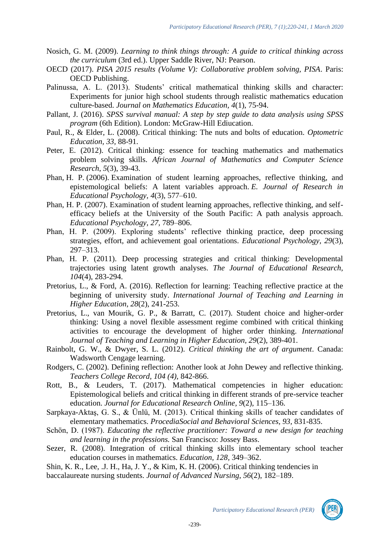- Nosich, G. M. (2009). *Learning to think things through: A guide to critical thinking across the curriculum* (3rd ed.). Upper Saddle River, NJ: Pearson.
- OECD (2017). *PISA 2015 results (Volume V): Collaborative problem solving, PISA*. Paris: OECD Publishing.
- Palinussa, A. L. (2013). Students' critical mathematical thinking skills and character: Experiments for junior high school students through realistic mathematics education culture-based. *Journal on Mathematics Education, 4*(1), 75-94.
- Pallant, J. (2016). *SPSS survival manual: A step by step guide to data analysis using SPSS program* (6th Edition). London: McGraw-Hill Ediucation.
- Paul, R., & Elder, L. (2008). Critical thinking: The nuts and bolts of education. *Optometric Education, 33,* 88-91.
- Peter, E. (2012). Critical thinking: essence for teaching mathematics and mathematics problem solving skills. *African Journal of Mathematics and Computer Science Research*, *5*(3), 39-43.
- Phan, H. P. (2006). Examination of student learning approaches, reflective thinking, and epistemological beliefs: A latent variables approach. *E. Journal of Research in Educational Psychology, 4*(3), 577–610.
- Phan, H. P. (2007). Examination of student learning approaches, reflective thinking, and selfefficacy beliefs at the University of the South Pacific: A path analysis approach. *Educational Psychology, 27,* 789–806.
- Phan, H. P. (2009). Exploring students' reflective thinking practice, deep processing strategies, effort, and achievement goal orientations. *Educational Psychology, 29*(3), 297–313.
- Phan, H. P. (2011). Deep processing strategies and critical thinking: Developmental trajectories using latent growth analyses. *The Journal of Educational Research, 104*(4), 283-294.
- Pretorius, L., & Ford, A. (2016). Reflection for learning: Teaching reflective practice at the beginning of university study. *International Journal of Teaching and Learning in Higher Education, 28*(2), 241-253.
- Pretorius, L., van Mourik, G. P., & Barratt, C. (2017). Student choice and higher-order thinking: Using a novel flexible assessment regime combined with critical thinking activities to encourage the development of higher order thinking. *International Journal of Teaching and Learning in Higher Education, 29*(2), 389-401.
- Rainbolt, G. W., & Dwyer, S. L. (2012). *Critical thinking the art of argument*. Canada: Wadsworth Cengage learning.
- Rodgers, C. (2002). Defining reflection: Another look at John Dewey and reflective thinking. *Teachers College Record, 104 (4),* 842-866.
- Rott, B., & Leuders, T. (2017). Mathematical competencies in higher education: Epistemological beliefs and critical thinking in different strands of pre-service teacher education. *Journal for Educational Research Online, 9*(2), 115–136.
- Sarpkaya-Aktaş, G. S., & Ünlü, M. (2013). Critical thinking skills of teacher candidates of elementary mathematics. *ProcediaSocial and Behavioral Sciences, 93,* 831-835.
- Schön, D. (1987). *Educating the reflective practitioner: Toward a new design for teaching and learning in the professions.* San Francisco: Jossey Bass.
- Sezer, R. (2008). Integration of critical thinking skills into elementary school teacher education courses in mathematics. *Education, 128,* 349–362.
- Shin, K. R., Lee, .J. H., Ha, J. Y., & Kim, K. H. (2006). Critical thinking tendencies in baccalaureate nursing students. *Journal of Advanced Nursing*, *56*(2), 182–189.

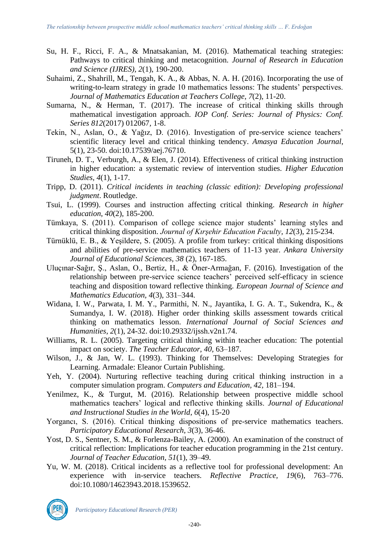- Su, H. F., Ricci, F. A., & Mnatsakanian, M. (2016). Mathematical teaching strategies: Pathways to critical thinking and metacognition. *Journal of Research in Education and Science (IJRES), 2*(1), 190-200.
- Suhaimi, Z., Shahrill, M., Tengah, K. A., & Abbas, N. A. H. (2016). Incorporating the use of writing-to-learn strategy in grade 10 mathematics lessons: The students' perspectives. *Journal of Mathematics Education at Teachers College*, *7*(2), 11-20.
- Sumarna, N., & Herman, T. (2017). The increase of critical thinking skills through mathematical investigation approach. *IOP Conf. Series: Journal of Physics: Conf. Series 812*(2017) 012067*,* 1-8.
- Tekin, N., Aslan, O., & Yağız, D. (2016). Investigation of pre-service science teachers' scientific literacy level and critical thinking tendency. *Amasya Education Journal*, 5(1), 23-50. doi:10.17539/aej.76710.
- Tiruneh, D. T., Verburgh, A., & Elen, J. (2014). Effectiveness of critical thinking instruction in higher education: a systematic review of intervention studies. *Higher Education Studies, 4*(1), 1-17.
- Tripp, D. (2011). *Critical incidents in teaching (classic edition): Developing professional judgment*. Routledge.
- Tsui, L. (1999). Courses and instruction affecting critical thinking. *Research in higher education*, *40*(2), 185-200.
- Tümkaya, S. (2011). Comparison of college science major students' learning styles and critical thinking disposition. *Journal of Kırşehir Education Faculty, 12*(3), 215-234.
- Türnüklü, E. B., & Yeşildere, S. (2005). A profile from turkey: critical thinking dispositions and abilities of pre-service mathematics teachers of 11-13 year. *Ankara University Journal of Educational Sciences, 38* (2), 167-185.
- Uluçınar-Sağır, Ş., Aslan, O., Bertiz, H., & Öner-Armağan, F. (2016). Investigation of the relationship between pre-service science teachers' perceived self-efficacy in science teaching and disposition toward reflective thinking. *European Journal of Science and Mathematics Education, 4*(3), 331–344.
- Widana, I. W., Parwata, I. M. Y., Parmithi, N. N., Jayantika, I. G. A. T., Sukendra, K., & Sumandya, I. W. (2018). Higher order thinking skills assessment towards critical thinking on mathematics lesson. *International Journal of Social Sciences and Humanities, 2*(1), 24-32. [doi:10.29332/ijssh.v2n1.74.](https://doi.org/10.29332/ijssh.v2n1.74)
- Williams, R. L. (2005). Targeting critical thinking within teacher education: The potential impact on society. *The Teacher Educator, 40,* 63–187.
- Wilson, J., & Jan, W. L. (1993). Thinking for Themselves: Developing Strategies for Learning. Armadale: Eleanor Curtain Publishing.
- Yeh, Y. (2004). Nurturing reflective teaching during critical thinking instruction in a computer simulation program. *Computers and Education, 42,* 181–194.
- Yenilmez, K., & Turgut, M. (2016). Relationship between prospective middle school mathematics teachers' logical and reflective thinking skills. *Journal of Educational and Instructional Studies in the World*, *6*(4), 15-20
- Yorgancı, S. (2016). Critical thinking dispositions of pre-service mathematics teachers. *Participatory Educational Research, 3*(3), 36-46.
- Yost, D. S., Sentner, S. M., & Forlenza-Bailey, A. (2000). An examination of the construct of critical reflection: Implications for teacher education programming in the 21st century. *Journal of Teacher Education, 51*(1), 39–49.
- Yu, W. M. (2018). Critical incidents as a reflective tool for professional development: An experience with in-service teachers. *Reflective Practice, 19*(6), 763–776. doi:10.1080/14623943.2018.1539652.



*Participatory Educational Research (PER)*